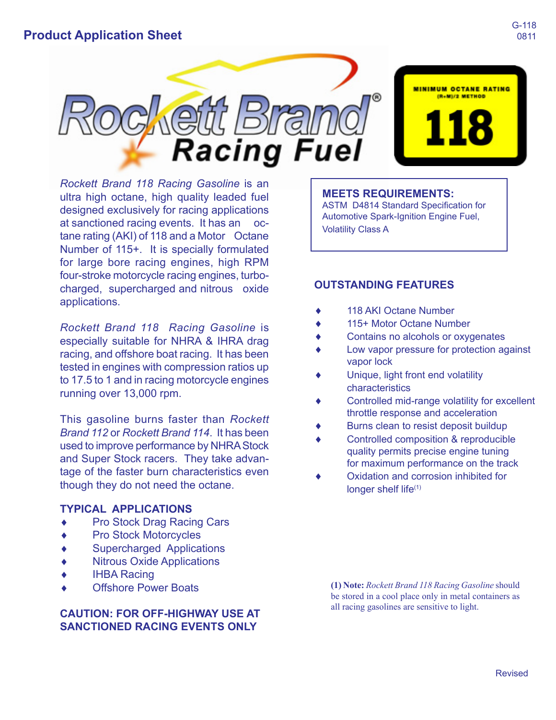

*Rockett Brand 118 Racing Gasoline* is an ultra high octane, high quality leaded fuel designed exclusively for racing applications at sanctioned racing events. It has an octane rating (AKI) of 118 and a Motor Octane Number of 115+. It is specially formulated for large bore racing engines, high RPM four-stroke motorcycle racing engines, turbocharged, supercharged and nitrous oxide applications.

*Rockett Brand 118 Racing Gasoline* is especially suitable for NHRA & IHRA drag racing, and offshore boat racing. It has been tested in engines with compression ratios up to 17.5 to 1 and in racing motorcycle engines running over 13,000 rpm.

This gasoline burns faster than *Rockett Brand 112* or *Rockett Brand 114*. It has been used to improve performance by NHRA Stock and Super Stock racers. They take advantage of the faster burn characteristics even though they do not need the octane.

### **TYPICAL APPLICATIONS**

- **Pro Stock Drag Racing Cars**
- **Pro Stock Motorcycles**
- Supercharged Applications
- **Nitrous Oxide Applications**
- **IHBA Racing**
- **Offshore Power Boats**

## **CAUTION: FOR OFF-HIGHWAY USE AT SANCTIONED RACING EVENTS ONLY**

#### **MEETS REQUIREMENTS:**

ASTM D4814 Standard Specification for Automotive Spark-Ignition Engine Fuel, Volatility Class A

## **OUTSTANDING FEATURES**

- 118 AKI Octane Number
- 115+ Motor Octane Number
- Contains no alcohols or oxygenates
- Low vapor pressure for protection against vapor lock
- Unique, light front end volatility characteristics
- Controlled mid-range volatility for excellent throttle response and acceleration
- Burns clean to resist deposit buildup
- Controlled composition & reproducible quality permits precise engine tuning for maximum performance on the track
- Oxidation and corrosion inhibited for longer shelf life(1)

**(1) Note:** *Rockett Brand 118 Racing Gasoline* should be stored in a cool place only in metal containers as all racing gasolines are sensitive to light.